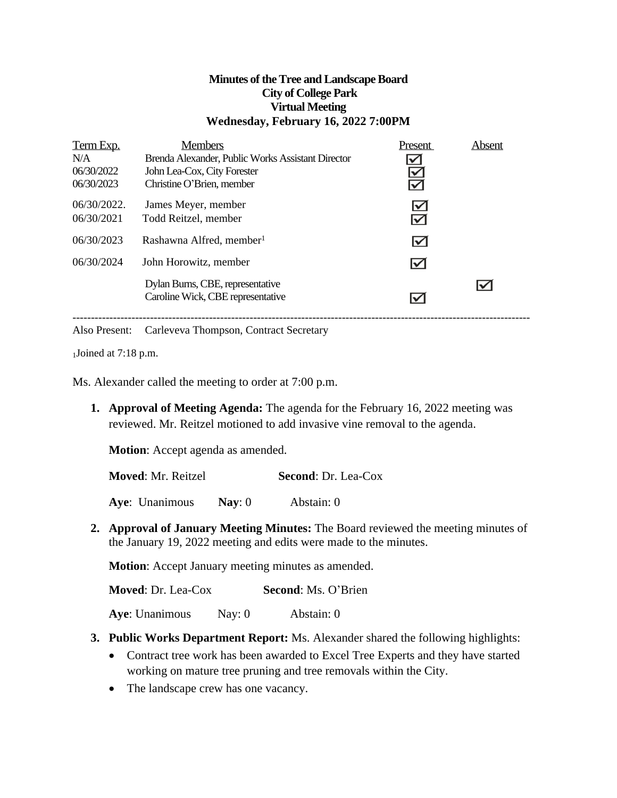### **Minutes of theTree and LandscapeBoard City of College Park Virtual Meeting Wednesday, February 16, 2022 7:00PM**

| Term Exp.<br>N/A<br>06/30/2022<br>06/30/2023 | <b>Members</b><br>Brenda Alexander, Public Works Assistant Director<br>John Lea-Cox, City Forester<br>Christine O'Brien, member | Present<br>$\leq$                            | Absent |
|----------------------------------------------|---------------------------------------------------------------------------------------------------------------------------------|----------------------------------------------|--------|
| $06/30/2022$ .<br>06/30/2021                 | James Meyer, member<br>Todd Reitzel, member                                                                                     | $\blacktriangledown$<br>$\blacktriangledown$ |        |
| 06/30/2023                                   | Rashawna Alfred, member <sup>1</sup>                                                                                            | $\blacktriangledown$                         |        |
| 06/30/2024                                   | John Horowitz, member                                                                                                           | $\blacktriangledown$                         |        |
|                                              | Dylan Burns, CBE, representative<br>Caroline Wick, CBE representative                                                           | ✓                                            |        |

Also Present: Carleveva Thompson, Contract Secretary

 $1$ Joined at 7:18 p.m.

Ms. Alexander called the meeting to order at 7:00 p.m.

**1. Approval of Meeting Agenda:** The agenda for the February 16, 2022 meeting was reviewed. Mr. Reitzel motioned to add invasive vine removal to the agenda.

**Motion**: Accept agenda as amended.

**Moved**: Mr. Reitzel **Second**: Dr. Lea-Cox

**Aye**: Unanimous **Nay**: 0 Abstain: 0

**2. Approval of January Meeting Minutes:** The Board reviewed the meeting minutes of the January 19, 2022 meeting and edits were made to the minutes.

**Motion**: Accept January meeting minutes as amended.

**Moved**: Dr. Lea-Cox **Second**: Ms. O'Brien

**Aye**: Unanimous Nay: 0 Abstain: 0

- **3. Public Works Department Report:** Ms. Alexander shared the following highlights:
	- Contract tree work has been awarded to Excel Tree Experts and they have started working on mature tree pruning and tree removals within the City.
	- The landscape crew has one vacancy.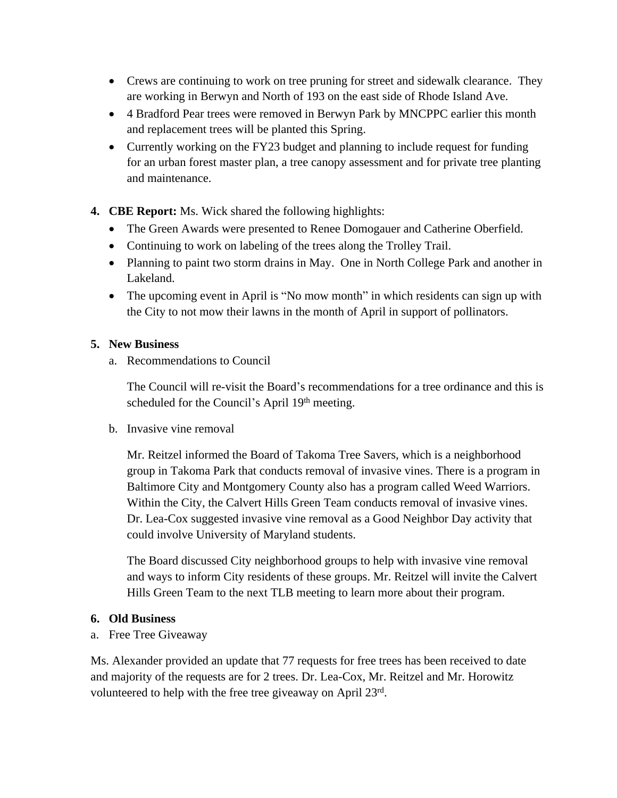- Crews are continuing to work on tree pruning for street and sidewalk clearance. They are working in Berwyn and North of 193 on the east side of Rhode Island Ave.
- 4 Bradford Pear trees were removed in Berwyn Park by MNCPPC earlier this month and replacement trees will be planted this Spring.
- Currently working on the FY23 budget and planning to include request for funding for an urban forest master plan, a tree canopy assessment and for private tree planting and maintenance.
- **4. CBE Report:** Ms. Wick shared the following highlights:
	- The Green Awards were presented to Renee Domogauer and Catherine Oberfield.
	- Continuing to work on labeling of the trees along the Trolley Trail.
	- Planning to paint two storm drains in May. One in North College Park and another in Lakeland.
	- The upcoming event in April is "No mow month" in which residents can sign up with the City to not mow their lawns in the month of April in support of pollinators.

### **5. New Business**

a. Recommendations to Council

The Council will re-visit the Board's recommendations for a tree ordinance and this is scheduled for the Council's April 19th meeting.

b. Invasive vine removal

Mr. Reitzel informed the Board of Takoma Tree Savers, which is a neighborhood group in Takoma Park that conducts removal of invasive vines. There is a program in Baltimore City and Montgomery County also has a program called Weed Warriors. Within the City, the Calvert Hills Green Team conducts removal of invasive vines. Dr. Lea-Cox suggested invasive vine removal as a Good Neighbor Day activity that could involve University of Maryland students.

The Board discussed City neighborhood groups to help with invasive vine removal and ways to inform City residents of these groups. Mr. Reitzel will invite the Calvert Hills Green Team to the next TLB meeting to learn more about their program.

### **6. Old Business**

a. Free Tree Giveaway

Ms. Alexander provided an update that 77 requests for free trees has been received to date and majority of the requests are for 2 trees. Dr. Lea-Cox, Mr. Reitzel and Mr. Horowitz volunteered to help with the free tree giveaway on April 23rd.